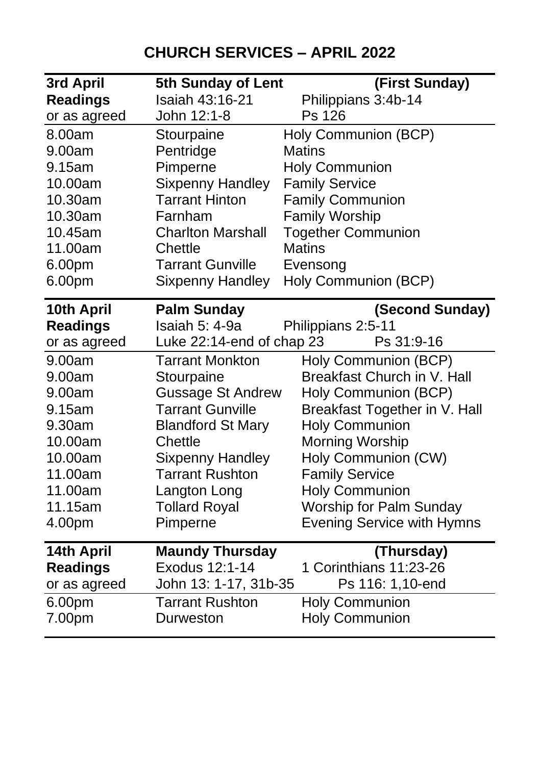## **CHURCH SERVICES – APRIL 2022**

| Isaiah 43:16-21<br><b>Readings</b><br>Philippians 3:4b-14<br>John 12:1-8<br>Ps 126<br>or as agreed<br>Holy Communion (BCP)<br>8.00am<br>Stourpaine<br>Pentridge<br>9.00am<br><b>Matins</b><br>Pimperne<br><b>Holy Communion</b><br>9.15am<br><b>Sixpenny Handley</b><br><b>Family Service</b><br>10.00am<br><b>Tarrant Hinton</b><br><b>Family Communion</b><br>10.30am<br>10.30am<br><b>Family Worship</b><br>Farnham<br><b>Together Communion</b><br>10.45am<br><b>Charlton Marshall</b><br>11.00am<br>Chettle<br>Matins<br><b>Tarrant Gunville</b><br>6.00pm<br>Evensong<br>Holy Communion (BCP)<br>6.00pm<br><b>Sixpenny Handley</b><br>10th April<br><b>Palm Sunday</b><br>(Second Sunday)<br>Isaiah 5: 4-9a<br><b>Readings</b><br>Philippians 2:5-11<br>Luke 22:14-end of chap 23<br>Ps 31:9-16<br>or as agreed<br><b>Tarrant Monkton</b><br>Holy Communion (BCP)<br>9.00am<br>Breakfast Church in V. Hall<br>9.00am<br>Stourpaine<br><b>Gussage St Andrew</b><br>9.00am<br>Holy Communion (BCP)<br><b>Tarrant Gunville</b><br>Breakfast Together in V. Hall<br>9.15am |                                |  |
|------------------------------------------------------------------------------------------------------------------------------------------------------------------------------------------------------------------------------------------------------------------------------------------------------------------------------------------------------------------------------------------------------------------------------------------------------------------------------------------------------------------------------------------------------------------------------------------------------------------------------------------------------------------------------------------------------------------------------------------------------------------------------------------------------------------------------------------------------------------------------------------------------------------------------------------------------------------------------------------------------------------------------------------------------------------------------|--------------------------------|--|
|                                                                                                                                                                                                                                                                                                                                                                                                                                                                                                                                                                                                                                                                                                                                                                                                                                                                                                                                                                                                                                                                              |                                |  |
|                                                                                                                                                                                                                                                                                                                                                                                                                                                                                                                                                                                                                                                                                                                                                                                                                                                                                                                                                                                                                                                                              |                                |  |
|                                                                                                                                                                                                                                                                                                                                                                                                                                                                                                                                                                                                                                                                                                                                                                                                                                                                                                                                                                                                                                                                              |                                |  |
|                                                                                                                                                                                                                                                                                                                                                                                                                                                                                                                                                                                                                                                                                                                                                                                                                                                                                                                                                                                                                                                                              |                                |  |
|                                                                                                                                                                                                                                                                                                                                                                                                                                                                                                                                                                                                                                                                                                                                                                                                                                                                                                                                                                                                                                                                              |                                |  |
|                                                                                                                                                                                                                                                                                                                                                                                                                                                                                                                                                                                                                                                                                                                                                                                                                                                                                                                                                                                                                                                                              |                                |  |
|                                                                                                                                                                                                                                                                                                                                                                                                                                                                                                                                                                                                                                                                                                                                                                                                                                                                                                                                                                                                                                                                              |                                |  |
|                                                                                                                                                                                                                                                                                                                                                                                                                                                                                                                                                                                                                                                                                                                                                                                                                                                                                                                                                                                                                                                                              |                                |  |
|                                                                                                                                                                                                                                                                                                                                                                                                                                                                                                                                                                                                                                                                                                                                                                                                                                                                                                                                                                                                                                                                              |                                |  |
|                                                                                                                                                                                                                                                                                                                                                                                                                                                                                                                                                                                                                                                                                                                                                                                                                                                                                                                                                                                                                                                                              |                                |  |
|                                                                                                                                                                                                                                                                                                                                                                                                                                                                                                                                                                                                                                                                                                                                                                                                                                                                                                                                                                                                                                                                              |                                |  |
|                                                                                                                                                                                                                                                                                                                                                                                                                                                                                                                                                                                                                                                                                                                                                                                                                                                                                                                                                                                                                                                                              |                                |  |
|                                                                                                                                                                                                                                                                                                                                                                                                                                                                                                                                                                                                                                                                                                                                                                                                                                                                                                                                                                                                                                                                              |                                |  |
|                                                                                                                                                                                                                                                                                                                                                                                                                                                                                                                                                                                                                                                                                                                                                                                                                                                                                                                                                                                                                                                                              |                                |  |
|                                                                                                                                                                                                                                                                                                                                                                                                                                                                                                                                                                                                                                                                                                                                                                                                                                                                                                                                                                                                                                                                              |                                |  |
|                                                                                                                                                                                                                                                                                                                                                                                                                                                                                                                                                                                                                                                                                                                                                                                                                                                                                                                                                                                                                                                                              |                                |  |
|                                                                                                                                                                                                                                                                                                                                                                                                                                                                                                                                                                                                                                                                                                                                                                                                                                                                                                                                                                                                                                                                              |                                |  |
|                                                                                                                                                                                                                                                                                                                                                                                                                                                                                                                                                                                                                                                                                                                                                                                                                                                                                                                                                                                                                                                                              |                                |  |
|                                                                                                                                                                                                                                                                                                                                                                                                                                                                                                                                                                                                                                                                                                                                                                                                                                                                                                                                                                                                                                                                              |                                |  |
| <b>Holy Communion</b><br>9.30am<br><b>Blandford St Mary</b>                                                                                                                                                                                                                                                                                                                                                                                                                                                                                                                                                                                                                                                                                                                                                                                                                                                                                                                                                                                                                  |                                |  |
| 10.00am<br>Chettle<br>Morning Worship                                                                                                                                                                                                                                                                                                                                                                                                                                                                                                                                                                                                                                                                                                                                                                                                                                                                                                                                                                                                                                        |                                |  |
| <b>Sixpenny Handley</b><br>Holy Communion (CW)<br>10.00am                                                                                                                                                                                                                                                                                                                                                                                                                                                                                                                                                                                                                                                                                                                                                                                                                                                                                                                                                                                                                    |                                |  |
| <b>Tarrant Rushton</b><br>11.00am<br><b>Family Service</b>                                                                                                                                                                                                                                                                                                                                                                                                                                                                                                                                                                                                                                                                                                                                                                                                                                                                                                                                                                                                                   |                                |  |
| 11.00am<br>Langton Long<br><b>Holy Communion</b>                                                                                                                                                                                                                                                                                                                                                                                                                                                                                                                                                                                                                                                                                                                                                                                                                                                                                                                                                                                                                             |                                |  |
| <b>Tollard Royal</b><br>11.15am                                                                                                                                                                                                                                                                                                                                                                                                                                                                                                                                                                                                                                                                                                                                                                                                                                                                                                                                                                                                                                              | <b>Worship for Palm Sunday</b> |  |
| 4.00pm<br>Pimperne<br><b>Evening Service with Hymns</b>                                                                                                                                                                                                                                                                                                                                                                                                                                                                                                                                                                                                                                                                                                                                                                                                                                                                                                                                                                                                                      |                                |  |
| 14th April<br><b>Maundy Thursday</b><br>(Thursday)                                                                                                                                                                                                                                                                                                                                                                                                                                                                                                                                                                                                                                                                                                                                                                                                                                                                                                                                                                                                                           |                                |  |
| Exodus 12:1-14<br>1 Corinthians 11:23-26<br><b>Readings</b>                                                                                                                                                                                                                                                                                                                                                                                                                                                                                                                                                                                                                                                                                                                                                                                                                                                                                                                                                                                                                  |                                |  |
| John 13: 1-17, 31b-35<br>Ps 116: 1,10-end<br>or as agreed                                                                                                                                                                                                                                                                                                                                                                                                                                                                                                                                                                                                                                                                                                                                                                                                                                                                                                                                                                                                                    |                                |  |
| <b>Tarrant Rushton</b><br><b>Holy Communion</b><br>6.00pm                                                                                                                                                                                                                                                                                                                                                                                                                                                                                                                                                                                                                                                                                                                                                                                                                                                                                                                                                                                                                    |                                |  |
| 7.00pm<br><b>Holy Communion</b><br>Durweston                                                                                                                                                                                                                                                                                                                                                                                                                                                                                                                                                                                                                                                                                                                                                                                                                                                                                                                                                                                                                                 |                                |  |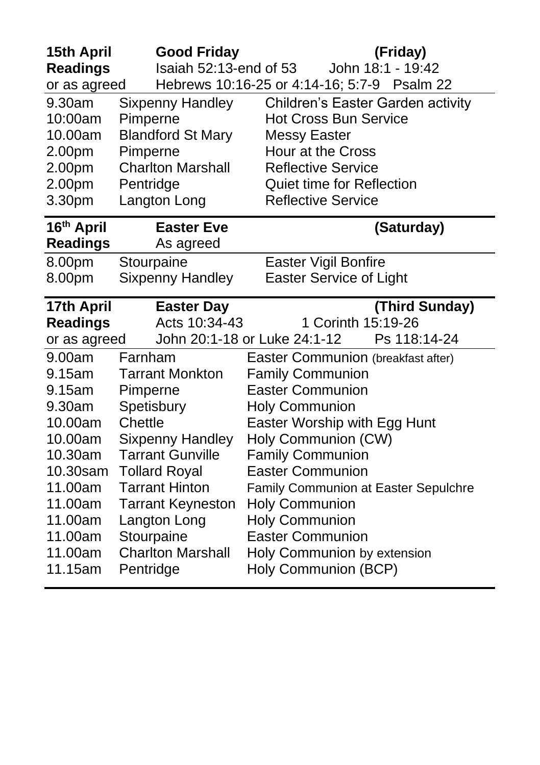| 15th April<br><b>Readings</b><br>or as agreed                                                                                                       | <b>Good Friday</b><br>Isaiah 52:13-end of 53                                                                                                                                                                                                                                     | (Friday)<br>John 18:1 - 19:42<br>Hebrews 10:16-25 or 4:14-16; 5:7-9 Psalm 22                                                                                                                                                                                                                                                                                                                               |
|-----------------------------------------------------------------------------------------------------------------------------------------------------|----------------------------------------------------------------------------------------------------------------------------------------------------------------------------------------------------------------------------------------------------------------------------------|------------------------------------------------------------------------------------------------------------------------------------------------------------------------------------------------------------------------------------------------------------------------------------------------------------------------------------------------------------------------------------------------------------|
| 9.30am<br>10:00am<br>10.00am<br>2.00pm<br>2.00pm<br>2.00pm<br>3.30pm<br>16th April                                                                  | Sixpenny Handley<br>Pimperne<br><b>Blandford St Mary</b><br>Pimperne<br><b>Charlton Marshall</b><br>Pentridge<br>Langton Long<br><b>Easter Eve</b>                                                                                                                               | Children's Easter Garden activity<br><b>Hot Cross Bun Service</b><br><b>Messy Easter</b><br>Hour at the Cross<br><b>Reflective Service</b><br><b>Quiet time for Reflection</b><br><b>Reflective Service</b><br>(Saturday)                                                                                                                                                                                  |
| <b>Readings</b><br>8.00pm<br>8.00pm                                                                                                                 | As agreed<br>Stourpaine<br><b>Sixpenny Handley</b>                                                                                                                                                                                                                               | Easter Vigil Bonfire<br><b>Easter Service of Light</b>                                                                                                                                                                                                                                                                                                                                                     |
| 17th April<br><b>Readings</b><br>or as agreed                                                                                                       | <b>Easter Day</b><br>Acts 10:34-43                                                                                                                                                                                                                                               | (Third Sunday)<br>1 Corinth 15:19-26<br>John 20:1-18 or Luke 24:1-12<br>Ps 118:14-24                                                                                                                                                                                                                                                                                                                       |
| 9.00am<br>9.15am<br>9.15am<br>9.30am<br>10.00am<br>10.00am<br>10.30am<br>10.30sam<br>11.00am<br>11.00am<br>11.00am<br>11.00am<br>11.00am<br>11.15am | Farnham<br><b>Tarrant Monkton</b><br>Pimperne<br>Spetisbury<br>Chettle<br><b>Sixpenny Handley</b><br><b>Tarrant Gunville</b><br><b>Tollard Royal</b><br><b>Tarrant Hinton</b><br><b>Tarrant Keyneston</b><br>Langton Long<br>Stourpaine<br><b>Charlton Marshall</b><br>Pentridge | Easter Communion (breakfast after)<br><b>Family Communion</b><br><b>Easter Communion</b><br><b>Holy Communion</b><br>Easter Worship with Egg Hunt<br>Holy Communion (CW)<br><b>Family Communion</b><br><b>Easter Communion</b><br>Family Communion at Easter Sepulchre<br><b>Holy Communion</b><br><b>Holy Communion</b><br><b>Easter Communion</b><br>Holy Communion by extension<br>Holy Communion (BCP) |